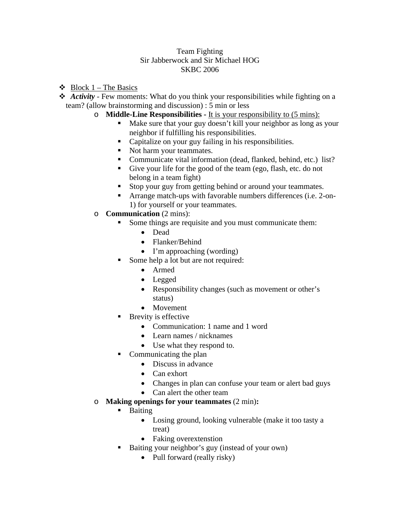## Team Fighting Sir Jabberwock and Sir Michael HOG SKBC 2006

- $\triangleleft$  Block 1 The Basics
- ◆ *Activity -* Few moments: What do you think your responsibilities while fighting on a team? (allow brainstorming and discussion) : 5 min or less
	- o **Middle-Line Responsibilities -** It is your responsibility to (5 mins):
		- Make sure that your guy doesn't kill your neighbor as long as your neighbor if fulfilling his responsibilities.
		- Capitalize on your guy failing in his responsibilities.
		- Not harm your teammates.
		- Communicate vital information (dead, flanked, behind, etc.) list?
		- Give your life for the good of the team (ego, flash, etc. do not belong in a team fight)
		- Stop your guy from getting behind or around your teammates.
		- Arrange match-ups with favorable numbers differences (i.e. 2-on-1) for yourself or your teammates.
	- o **Communication** (2 mins):
		- Some things are requisite and you must communicate them:
			- Dead
			- Flanker/Behind
			- I'm approaching (wording)
			- Some help a lot but are not required:
				- Armed
				- Legged
				- Responsibility changes (such as movement or other's status)
				- Movement
			- **Brevity is effective** 
				- Communication: 1 name and 1 word
				- Learn names / nicknames
				- Use what they respond to.
			- Communicating the plan
				- Discuss in advance
				- Can exhort
				- Changes in plan can confuse your team or alert bad guys
				- Can alert the other team
	- o **Making openings for your teammates** (2 min)**:**
		- **Baiting** 
			- Losing ground, looking vulnerable (make it too tasty a treat)
			- Faking overextenstion
		- Baiting your neighbor's guy (instead of your own)
			- Pull forward (really risky)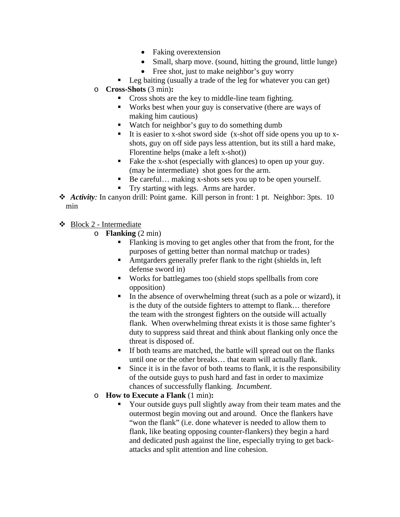- Faking overextension
- Small, sharp move. (sound, hitting the ground, little lunge)
- Free shot, just to make neighbor's guy worry
- Leg baiting (usually a trade of the leg for whatever you can get)
- o **Cross-Shots** (3 min)**:**
	- **Cross shots are the key to middle-line team fighting.**
	- Works best when your guy is conservative (there are ways of making him cautious)
	- Watch for neighbor's guy to do something dumb
	- It is easier to x-shot sword side (x-shot off side opens you up to  $x$ shots, guy on off side pays less attention, but its still a hard make, Florentine helps (make a left x-shot))
	- Fake the x-shot (especially with glances) to open up your guy. (may be intermediate) shot goes for the arm.
	- Be careful... making x-shots sets you up to be open yourself.
	- Try starting with legs. Arms are harder.
- ◆ *Activity*: In canyon drill: Point game. Kill person in front: 1 pt. Neighbor: 3pts. 10 min

 $\div$  Block 2 - Intermediate

- o **Flanking** (2 min)
	- Flanking is moving to get angles other that from the front, for the purposes of getting better than normal matchup or trades)
	- Amtgarders generally prefer flank to the right (shields in, left defense sword in)
	- Works for battlegames too (shield stops spellballs from core opposition)
	- In the absence of overwhelming threat (such as a pole or wizard), it is the duty of the outside fighters to attempt to flank… therefore the team with the strongest fighters on the outside will actually flank. When overwhelming threat exists it is those same fighter's duty to suppress said threat and think about flanking only once the threat is disposed of.
	- If both teams are matched, the battle will spread out on the flanks until one or the other breaks… that team will actually flank.
	- Since it is in the favor of both teams to flank, it is the responsibility of the outside guys to push hard and fast in order to maximize chances of successfully flanking. *Incumbent*.
- o **How to Execute a Flank** (1 min)**:**
	- Your outside guys pull slightly away from their team mates and the outermost begin moving out and around. Once the flankers have "won the flank" (i.e. done whatever is needed to allow them to flank, like beating opposing counter-flankers) they begin a hard and dedicated push against the line, especially trying to get backattacks and split attention and line cohesion.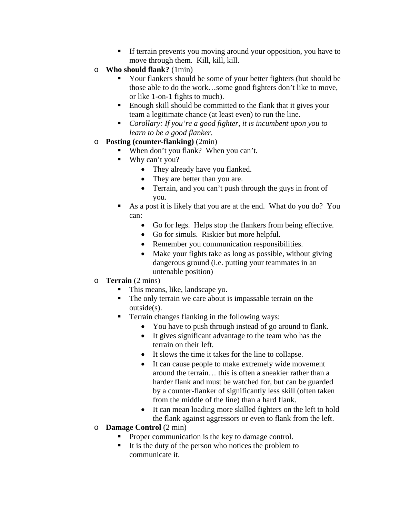- If terrain prevents you moving around your opposition, you have to move through them. Kill, kill, kill.
- o **Who should flank?** (1min)
	- Your flankers should be some of your better fighters (but should be those able to do the work…some good fighters don't like to move, or like 1-on-1 fights to much).
	- Enough skill should be committed to the flank that it gives your team a legitimate chance (at least even) to run the line.
	- *Corollary: If you're a good fighter, it is incumbent upon you to learn to be a good flanker.*
- o **Posting (counter-flanking)** (2min)
	- When don't you flank? When you can't.
	- Why can't you?
		- They already have you flanked.
		- They are better than you are.
		- Terrain, and you can't push through the guys in front of you.
	- As a post it is likely that you are at the end. What do you do? You can:
		- Go for legs. Helps stop the flankers from being effective.
		- Go for simuls. Riskier but more helpful.
		- Remember you communication responsibilities.
		- Make your fights take as long as possible, without giving dangerous ground (i.e. putting your teammates in an untenable position)
- o **Terrain** (2 mins)
	- This means, like, landscape yo.
	- The only terrain we care about is impassable terrain on the outside(s).
	- Terrain changes flanking in the following ways:
		- You have to push through instead of go around to flank.
		- It gives significant advantage to the team who has the terrain on their left.
		- It slows the time it takes for the line to collapse.
		- It can cause people to make extremely wide movement around the terrain… this is often a sneakier rather than a harder flank and must be watched for, but can be guarded by a counter-flanker of significantly less skill (often taken from the middle of the line) than a hard flank.
		- It can mean loading more skilled fighters on the left to hold the flank against aggressors or even to flank from the left.
- o **Damage Control** (2 min)
	- **Proper communication is the key to damage control.**
	- $\blacksquare$  It is the duty of the person who notices the problem to communicate it.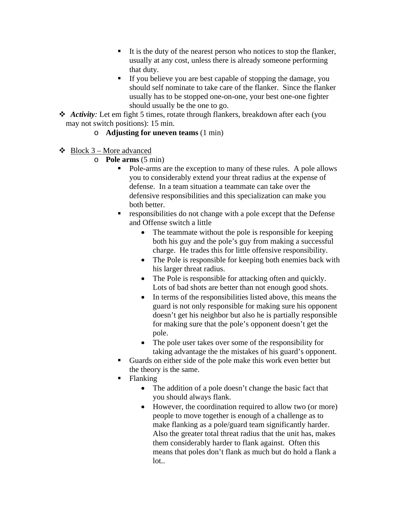- $\blacksquare$  It is the duty of the nearest person who notices to stop the flanker, usually at any cost, unless there is already someone performing that duty.
- If you believe you are best capable of stopping the damage, you should self nominate to take care of the flanker. Since the flanker usually has to be stopped one-on-one, your best one-one fighter should usually be the one to go.
- *Activity:* Let em fight 5 times, rotate through flankers, breakdown after each (you may not switch positions): 15 min.

## o **Adjusting for uneven teams** (1 min)

- $\triangleleft$  Block 3 More advanced
	- o **Pole arms** (5 min)
		- Pole-arms are the exception to many of these rules. A pole allows you to considerably extend your threat radius at the expense of defense. In a team situation a teammate can take over the defensive responsibilities and this specialization can make you both better.
		- responsibilities do not change with a pole except that the Defense and Offense switch a little
			- The teammate without the pole is responsible for keeping both his guy and the pole's guy from making a successful charge. He trades this for little offensive responsibility.
			- The Pole is responsible for keeping both enemies back with his larger threat radius.
			- The Pole is responsible for attacking often and quickly. Lots of bad shots are better than not enough good shots.
			- In terms of the responsibilities listed above, this means the guard is not only responsible for making sure his opponent doesn't get his neighbor but also he is partially responsible for making sure that the pole's opponent doesn't get the pole.
			- The pole user takes over some of the responsibility for taking advantage the the mistakes of his guard's opponent.
		- Guards on either side of the pole make this work even better but the theory is the same.
		- Flanking
			- The addition of a pole doesn't change the basic fact that you should always flank.
			- However, the coordination required to allow two (or more) people to move together is enough of a challenge as to make flanking as a pole/guard team significantly harder. Also the greater total threat radius that the unit has, makes them considerably harder to flank against. Often this means that poles don't flank as much but do hold a flank a lot..